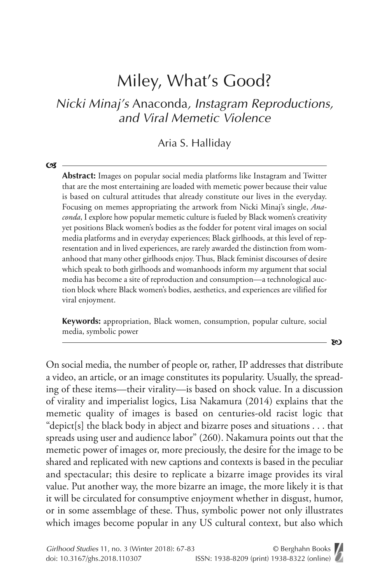# Miley, What's Good?

### Nicki Minaj's Anaconda, Instagram Reproductions, and Viral Memetic Violence

Aria S. Halliday

**c**s

**Abstract:** Images on popular social media platforms like Instagram and Twitter that are the most entertaining are loaded with memetic power because their value is based on cultural attitudes that already constitute our lives in the everyday. Focusing on memes appropriating the artwork from Nicki Minaj's single, *Anaconda*, I explore how popular memetic culture is fueled by Black women's creativity yet positions Black women's bodies as the fodder for potent viral images on social media platforms and in everyday experiences; Black girlhoods, at this level of representation and in lived experiences, are rarely awarded the distinction from womanhood that many other girlhoods enjoy. Thus, Black feminist discourses of desire which speak to both girlhoods and womanhoods inform my argument that social media has become a site of reproduction and consumption—a technological auction block where Black women's bodies, aesthetics, and experiences are vilified for viral enjoyment.

**Keywords:** appropriation, Black women, consumption, popular culture, social media, symbolic power

- 80

On social media, the number of people or, rather, IP addresses that distribute a video, an article, or an image constitutes its popularity. Usually, the spreading of these items—their virality—is based on shock value. In a discussion of virality and imperialist logics, Lisa Nakamura (2014) explains that the memetic quality of images is based on centuries-old racist logic that "depict[s] the black body in abject and bizarre poses and situations . . . that spreads using user and audience labor" (260). Nakamura points out that the memetic power of images or, more preciously, the desire for the image to be shared and replicated with new captions and contexts is based in the peculiar and spectacular; this desire to replicate a bizarre image provides its viral value. Put another way, the more bizarre an image, the more likely it is that it will be circulated for consumptive enjoyment whether in disgust, humor, or in some assemblage of these. Thus, symbolic power not only illustrates which images become popular in any US cultural context, but also which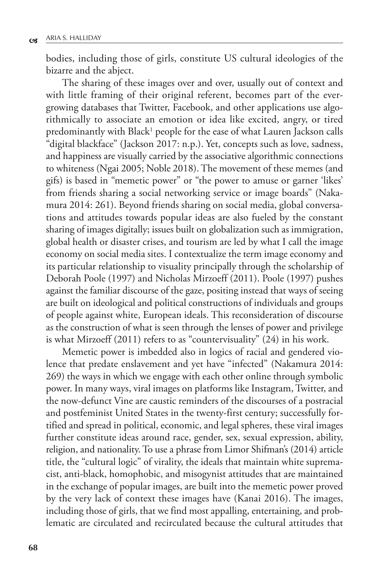bodies, including those of girls, constitute US cultural ideologies of the bizarre and the abject.

The sharing of these images over and over, usually out of context and with little framing of their original referent, becomes part of the ever growing databases that Twitter, Facebook, and other applications use algorithmically to associate an emotion or idea like excited, angry, or tired predominantly with Black<sup>1</sup> people for the ease of what Lauren Jackson calls "digital blackface" (Jackson 2017: n.p.). Yet, concepts such as love, sadness, and happiness are visually carried by the associative algorithmic connections to whiteness (Ngai 2005; Noble 2018). The movement of these memes (and gifs) is based in "memetic power" or "the power to amuse or garner 'likes' from friends sharing a social networking service or image boards" (Nakamura 2014: 261). Beyond friends sharing on social media, global conversations and attitudes towards popular ideas are also fueled by the constant sharing of images digitally; issues built on globalization such as immigration, global health or disaster crises, and tourism are led by what I call the image economy on social media sites. I contextualize the term image economy and its particular relationship to visuality principally through the scholarship of Deborah Poole (1997) and Nicholas Mirzoeff (2011). Poole (1997) pushes against the familiar discourse of the gaze, positing instead that ways of seeing are built on ideological and political constructions of individuals and groups of people against white, European ideals. This reconsideration of discourse as the construction of what is seen through the lenses of power and privilege is what Mirzoeff (2011) refers to as "countervisuality" (24) in his work.

Memetic power is imbedded also in logics of racial and gendered violence that predate enslavement and yet have "infected" (Nakamura 2014: 269) the ways in which we engage with each other online through symbolic power. In many ways, viral images on platforms like Instagram, Twitter, and the now-defunct Vine are caustic reminders of the discourses of a postracial and postfeminist United States in the twenty-first century; successfully fortified and spread in political, economic, and legal spheres, these viral images further constitute ideas around race, gender, sex, sexual expression, ability, religion, and nationality. To use a phrase from Limor Shifman's (2014) article title, the "cultural logic" of virality, the ideals that maintain white supremacist, anti-black, homophobic, and misogynist attitudes that are maintained in the exchange of popular images, are built into the memetic power proved by the very lack of context these images have (Kanai 2016). The images, including those of girls, that we find most appalling, entertaining, and problematic are circulated and recirculated because the cultural attitudes that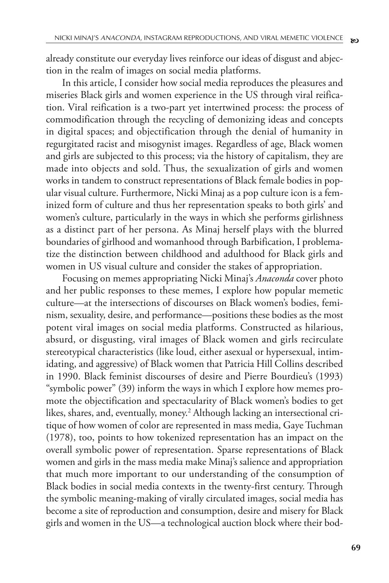already constitute our everyday lives reinforce our ideas of disgust and abjection in the realm of images on social media platforms.

In this article, I consider how social media reproduces the pleasures and miseries Black girls and women experience in the US through viral reification. Viral reification is a two-part yet intertwined process: the process of commodification through the recycling of demonizing ideas and concepts in digital spaces; and objectification through the denial of humanity in regurgitated racist and misogynist images. Regardless of age, Black women and girls are subjected to this process; via the history of capitalism, they are made into objects and sold. Thus, the sexualization of girls and women works in tandem to construct representations of Black female bodies in popular visual culture. Furthermore, Nicki Minaj as a pop culture icon is a feminized form of culture and thus her representation speaks to both girls' and women's culture, particularly in the ways in which she performs girlishness as a distinct part of her persona. As Minaj herself plays with the blurred boundaries of girlhood and womanhood through Barbification, I problematize the distinction between childhood and adulthood for Black girls and women in US visual culture and consider the stakes of appropriation.

Focusing on memes appropriating Nicki Minaj's *Anaconda* cover photo and her public responses to these memes, I explore how popular memetic culture—at the intersections of discourses on Black women's bodies, feminism, sexuality, desire, and performance—positions these bodies as the most potent viral images on social media platforms. Constructed as hilarious, absurd, or disgusting, viral images of Black women and girls recirculate stereotypical characteristics (like loud, either asexual or hypersexual, intimidating, and aggressive) of Black women that Patricia Hill Collins described in 1990. Black feminist discourses of desire and Pierre Bourdieu's (1993) "symbolic power" (39) inform the ways in which I explore how memes promote the objectification and spectacularity of Black women's bodies to get likes, shares, and, eventually, money.<sup>2</sup> Although lacking an intersectional critique of how women of color are represented in mass media, Gaye Tuchman (1978), too, points to how tokenized representation has an impact on the overall symbolic power of representation. Sparse representations of Black women and girls in the mass media make Minaj's salience and appropriation that much more important to our understanding of the consumption of Black bodies in social media contexts in the twenty-first century. Through the symbolic meaning-making of virally circulated images, social media has become a site of reproduction and consumption, desire and misery for Black girls and women in the US—a technological auction block where their bod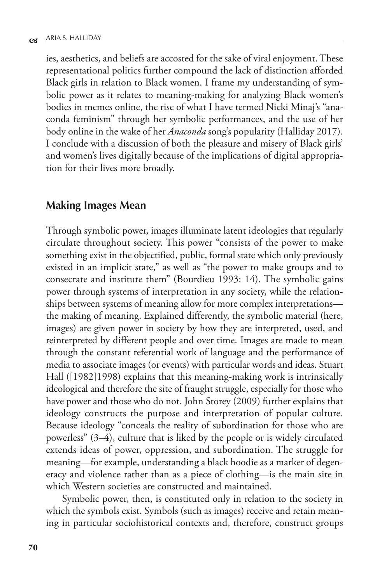ies, aesthetics, and beliefs are accosted for the sake of viral enjoyment. These representational politics further compound the lack of distinction afforded Black girls in relation to Black women. I frame my understanding of symbolic power as it relates to meaning-making for analyzing Black women's bodies in memes online, the rise of what I have termed Nicki Minaj's "anaconda feminism" through her symbolic performances, and the use of her body online in the wake of her *Anaconda* song's popularity (Halliday 2017). I conclude with a discussion of both the pleasure and misery of Black girls' and women's lives digitally because of the implications of digital appropriation for their lives more broadly.

#### **Making Images Mean**

Through symbolic power, images illuminate latent ideologies that regularly circulate throughout society. This power "consists of the power to make something exist in the objectified, public, formal state which only previously existed in an implicit state," as well as "the power to make groups and to consecrate and institute them" (Bourdieu 1993: 14). The symbolic gains power through systems of interpretation in any society, while the relationships between systems of meaning allow for more complex interpretations the making of meaning. Explained differently, the symbolic material (here, images) are given power in society by how they are interpreted, used, and reinterpreted by different people and over time. Images are made to mean through the constant referential work of language and the performance of media to associate images (or events) with particular words and ideas. Stuart Hall ([1982]1998) explains that this meaning-making work is intrinsically ideological and therefore the site of fraught struggle, especially for those who have power and those who do not. John Storey (2009) further explains that ideology constructs the purpose and interpretation of popular culture. Because ideology "conceals the reality of subordination for those who are powerless" (3–4), culture that is liked by the people or is widely circulated extends ideas of power, oppression, and subordination. The struggle for meaning—for example, understanding a black hoodie as a marker of degeneracy and violence rather than as a piece of clothing—is the main site in which Western societies are constructed and maintained.

Symbolic power, then, is constituted only in relation to the society in which the symbols exist. Symbols (such as images) receive and retain meaning in particular sociohistorical contexts and, therefore, construct groups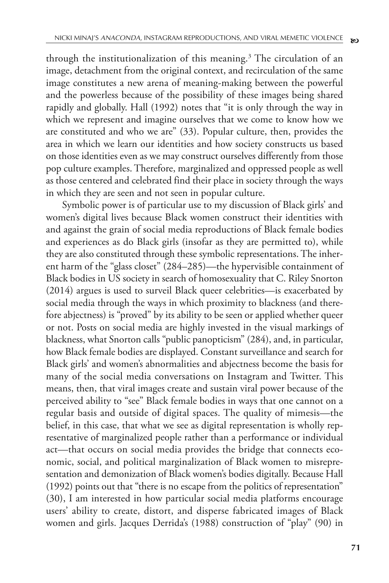through the institutionalization of this meaning.<sup>3</sup> The circulation of an image, detachment from the original context, and recirculation of the same image constitutes a new arena of meaning-making between the powerful and the powerless because of the possibility of these images being shared rapidly and globally. Hall (1992) notes that "it is only through the way in which we represent and imagine ourselves that we come to know how we are constituted and who we are" (33). Popular culture, then, provides the area in which we learn our identities and how society constructs us based on those identities even as we may construct ourselves differently from those pop culture examples. Therefore, marginalized and oppressed people as well as those centered and celebrated find their place in society through the ways in which they are seen and not seen in popular culture.

Symbolic power is of particular use to my discussion of Black girls' and women's digital lives because Black women construct their identities with and against the grain of social media reproductions of Black female bodies and experiences as do Black girls (insofar as they are permitted to), while they are also constituted through these symbolic representations. The inherent harm of the "glass closet" (284–285)—the hypervisible containment of Black bodies in US society in search of homosexuality that C. Riley Snorton (2014) argues is used to surveil Black queer celebrities—is exacerbated by social media through the ways in which proximity to blackness (and therefore abjectness) is "proved" by its ability to be seen or applied whether queer or not. Posts on social media are highly invested in the visual markings of blackness, what Snorton calls "public panopticism" (284), and, in particular, how Black female bodies are displayed. Constant surveillance and search for Black girls' and women's abnormalities and abjectness become the basis for many of the social media conversations on Instagram and Twitter. This means, then, that viral images create and sustain viral power because of the perceived ability to "see" Black female bodies in ways that one cannot on a regular basis and outside of digital spaces. The quality of mimesis—the belief, in this case, that what we see as digital representation is wholly representative of marginalized people rather than a performance or individual act—that occurs on social media provides the bridge that connects economic, social, and political marginalization of Black women to misrepresentation and demonization of Black women's bodies digitally. Because Hall (1992) points out that "there is no escape from the politics of representation" (30), I am interested in how particular social media platforms encourage users' ability to create, distort, and disperse fabricated images of Black women and girls. Jacques Derrida's (1988) construction of "play" (90) in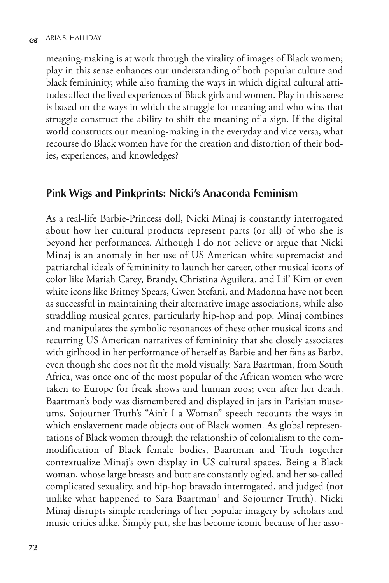meaning-making is at work through the virality of images of Black women; play in this sense enhances our understanding of both popular culture and black femininity, while also framing the ways in which digital cultural attitudes affect the lived experiences of Black girls and women. Play in this sense is based on the ways in which the struggle for meaning and who wins that struggle construct the ability to shift the meaning of a sign. If the digital world constructs our meaning-making in the everyday and vice versa, what recourse do Black women have for the creation and distortion of their bodies, experiences, and knowledges?

#### **Pink Wigs and Pinkprints: Nicki's Anaconda Feminism**

As a real-life Barbie-Princess doll, Nicki Minaj is constantly interrogated about how her cultural products represent parts (or all) of who she is beyond her performances. Although I do not believe or argue that Nicki Minaj is an anomaly in her use of US American white supremacist and patriarchal ideals of femininity to launch her career, other musical icons of color like Mariah Carey, Brandy, Christina Aguilera, and Lil' Kim or even white icons like Britney Spears, Gwen Stefani, and Madonna have not been as successful in maintaining their alternative image associations, while also straddling musical genres, particularly hip-hop and pop. Minaj combines and manipulates the symbolic resonances of these other musical icons and recurring US American narratives of femininity that she closely associates with girlhood in her performance of herself as Barbie and her fans as Barbz, even though she does not fit the mold visually. Sara Baartman, from South Africa, was once one of the most popular of the African women who were taken to Europe for freak shows and human zoos; even after her death, Baartman's body was dismembered and displayed in jars in Parisian museums. Sojourner Truth's "Ain't I a Woman" speech recounts the ways in which enslavement made objects out of Black women. As global representations of Black women through the relationship of colonialism to the commodification of Black female bodies, Baartman and Truth together contextualize Minaj's own display in US cultural spaces. Being a Black woman, whose large breasts and butt are constantly ogled, and her so-called complicated sexuality, and hip-hop bravado interrogated, and judged (not unlike what happened to Sara Baartman<sup>4</sup> and Sojourner Truth), Nicki Minaj disrupts simple renderings of her popular imagery by scholars and music critics alike. Simply put, she has become iconic because of her asso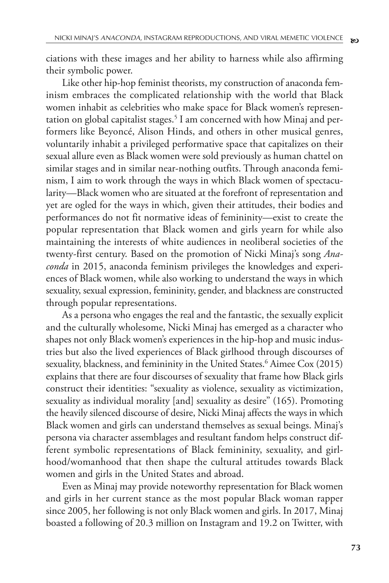ciations with these images and her ability to harness while also affirming their symbolic power.

Like other hip-hop feminist theorists, my construction of anaconda feminism embraces the complicated relationship with the world that Black women inhabit as celebrities who make space for Black women's representation on global capitalist stages.<sup>5</sup> I am concerned with how Minaj and performers like Beyoncé, Alison Hinds, and others in other musical genres, voluntarily inhabit a privileged performative space that capitalizes on their sexual allure even as Black women were sold previously as human chattel on similar stages and in similar near-nothing outfits. Through anaconda feminism, I aim to work through the ways in which Black women of spectacularity—Black women who are situated at the forefront of representation and yet are ogled for the ways in which, given their attitudes, their bodies and performances do not fit normative ideas of femininity—exist to create the popular representation that Black women and girls yearn for while also maintaining the interests of white audiences in neoliberal societies of the twenty-first century. Based on the promotion of Nicki Minaj's song *Anaconda* in 2015, anaconda feminism privileges the knowledges and experiences of Black women, while also working to understand the ways in which sexuality, sexual expression, femininity, gender, and blackness are constructed through popular representations.

As a persona who engages the real and the fantastic, the sexually explicit and the culturally wholesome, Nicki Minaj has emerged as a character who shapes not only Black women's experiences in the hip-hop and music industries but also the lived experiences of Black girlhood through discourses of sexuality, blackness, and femininity in the United States.<sup>6</sup> Aimee Cox (2015) explains that there are four discourses of sexuality that frame how Black girls construct their identities: "sexuality as violence, sexuality as victimization, sexuality as individual morality [and] sexuality as desire" (165). Promoting the heavily silenced discourse of desire, Nicki Minaj affects the ways in which Black women and girls can understand themselves as sexual beings. Minaj's persona via character assemblages and resultant fandom helps construct different symbolic representations of Black femininity, sexuality, and girlhood/womanhood that then shape the cultural attitudes towards Black women and girls in the United States and abroad.

Even as Minaj may provide noteworthy representation for Black women and girls in her current stance as the most popular Black woman rapper since 2005, her following is not only Black women and girls. In 2017, Minaj boasted a following of 20.3 million on Instagram and 19.2 on Twitter, with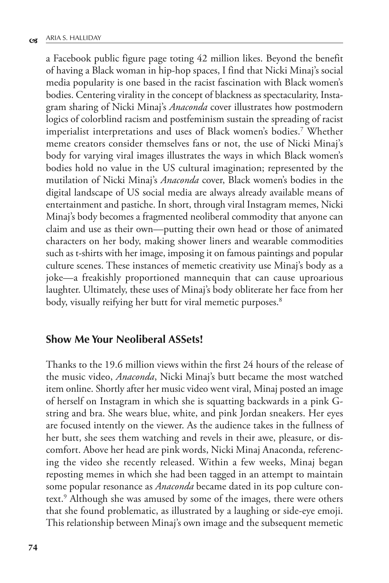a Facebook public figure page toting 42 million likes. Beyond the benefit of having a Black woman in hip-hop spaces, I find that Nicki Minaj's social media popularity is one based in the racist fascination with Black women's bodies. Centering virality in the concept of blackness as spectacularity, Instagram sharing of Nicki Minaj's *Anaconda* cover illustrates how postmodern logics of colorblind racism and postfeminism sustain the spreading of racist imperialist interpretations and uses of Black women's bodies.7 Whether meme creators consider themselves fans or not, the use of Nicki Minaj's body for varying viral images illustrates the ways in which Black women's bodies hold no value in the US cultural imagination; represented by the mutilation of Nicki Minaj's *Anaconda* cover, Black women's bodies in the digital landscape of US social media are always already available means of entertainment and pastiche. In short, through viral Instagram memes, Nicki Minaj's body becomes a fragmented neoliberal commodity that anyone can claim and use as their own—putting their own head or those of animated characters on her body, making shower liners and wearable commodities such as t-shirts with her image, imposing it on famous paintings and popular culture scenes. These instances of memetic creativity use Minaj's body as a joke—a freakishly proportioned mannequin that can cause uproarious laughter. Ultimately, these uses of Minaj's body obliterate her face from her body, visually reifying her butt for viral memetic purposes.<sup>8</sup>

#### **Show Me Your Neoliberal ASSets!**

Thanks to the 19.6 million views within the first 24 hours of the release of the music video, *Anaconda*, Nicki Minaj's butt became the most watched item online. Shortly after her music video went viral, Minaj posted an image of herself on Instagram in which she is squatting backwards in a pink Gstring and bra. She wears blue, white, and pink Jordan sneakers. Her eyes are focused intently on the viewer. As the audience takes in the fullness of her butt, she sees them watching and revels in their awe, pleasure, or discomfort. Above her head are pink words, Nicki Minaj Anaconda, referencing the video she recently released. Within a few weeks, Minaj began reposting memes in which she had been tagged in an attempt to maintain some popular resonance as *Anaconda* became dated in its pop culture context.<sup>9</sup> Although she was amused by some of the images, there were others that she found problematic, as illustrated by a laughing or side-eye emoji. This relationship between Minaj's own image and the subsequent memetic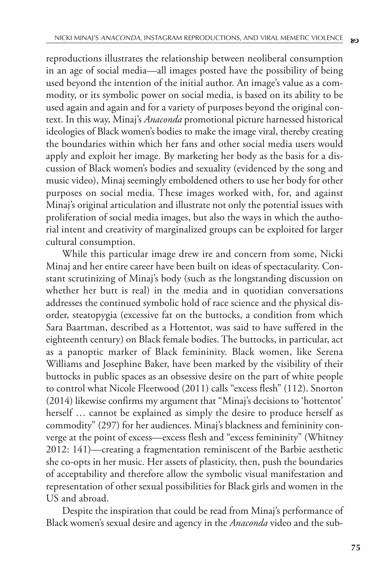reproductions illustrates the relationship between neoliberal consumption in an age of social media—all images posted have the possibility of being used beyond the intention of the initial author. An image's value as a commodity, or its symbolic power on social media, is based on its ability to be used again and again and for a variety of purposes beyond the original context. In this way, Minaj's *Anaconda* promotional picture harnessed historical ideologies of Black women's bodies to make the image viral, thereby creating the boundaries within which her fans and other social media users would apply and exploit her image. By marketing her body as the basis for a discussion of Black women's bodies and sexuality (evidenced by the song and music video), Minaj seemingly emboldened others to use her body for other purposes on social media. These images worked with, for, and against Minaj's original articulation and illustrate not only the potential issues with proliferation of social media images, but also the ways in which the authorial intent and creativity of marginalized groups can be exploited for larger cultural consumption.

While this particular image drew ire and concern from some, Nicki Minaj and her entire career have been built on ideas of spectacularity. Constant scrutinizing of Minaj's body (such as the longstanding discussion on whether her butt is real) in the media and in quotidian conversations addresses the continued symbolic hold of race science and the physical disorder, steatopygia (excessive fat on the buttocks, a condition from which Sara Baartman, described as a Hottentot, was said to have suffered in the eighteenth century) on Black female bodies. The buttocks, in particular, act as a panoptic marker of Black femininity. Black women, like Serena Williams and Josephine Baker, have been marked by the visibility of their buttocks in public spaces as an obsessive desire on the part of white people to control what Nicole Fleetwood (2011) calls "excess flesh" (112). Snorton (2014) likewise confirms my argument that "Minaj's decisions to 'hottentot' herself … cannot be explained as simply the desire to produce herself as commodity" (297) for her audiences. Minaj's blackness and femininity converge at the point of excess—excess flesh and "excess femininity" (Whitney 2012: 141)—creating a fragmentation reminiscent of the Barbie aesthetic she co-opts in her music. Her assets of plasticity, then, push the boundaries of acceptability and therefore allow the symbolic visual manifestation and representation of other sexual possibilities for Black girls and women in the US and abroad.

Despite the inspiration that could be read from Minaj's performance of Black women's sexual desire and agency in the *Anaconda* video and the sub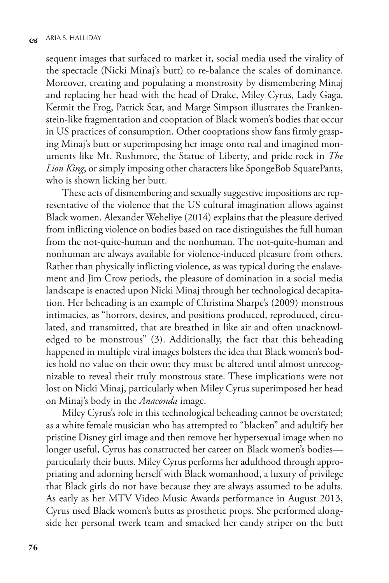sequent images that surfaced to market it, social media used the virality of the spectacle (Nicki Minaj's butt) to re-balance the scales of dominance. Moreover, creating and populating a monstrosity by dismembering Minaj and replacing her head with the head of Drake, Miley Cyrus, Lady Gaga, Kermit the Frog, Patrick Star, and Marge Simpson illustrates the Frankenstein-like fragmentation and cooptation of Black women's bodies that occur in US practices of consumption. Other cooptations show fans firmly grasping Minaj's butt or superimposing her image onto real and imagined monuments like Mt. Rushmore, the Statue of Liberty, and pride rock in *The Lion King*, or simply imposing other characters like SpongeBob SquarePants, who is shown licking her butt.

These acts of dismembering and sexually suggestive impositions are representative of the violence that the US cultural imagination allows against Black women. Alexander Weheliye (2014) explains that the pleasure derived from inflicting violence on bodies based on race distinguishes the full human from the not-quite-human and the nonhuman. The not-quite-human and nonhuman are always available for violence-induced pleasure from others. Rather than physically inflicting violence, as was typical during the enslavement and Jim Crow periods, the pleasure of domination in a social media landscape is enacted upon Nicki Minaj through her technological decapitation. Her beheading is an example of Christina Sharpe's (2009) monstrous intimacies, as "horrors, desires, and positions produced, reproduced, circulated, and transmitted, that are breathed in like air and often unacknowledged to be monstrous" (3). Additionally, the fact that this beheading happened in multiple viral images bolsters the idea that Black women's bodies hold no value on their own; they must be altered until almost unrecognizable to reveal their truly monstrous state. These implications were not lost on Nicki Minaj, particularly when Miley Cyrus superimposed her head on Minaj's body in the *Anaconda* image.

Miley Cyrus's role in this technological beheading cannot be overstated; as a white female musician who has attempted to "blacken" and adultify her pristine Disney girl image and then remove her hypersexual image when no longer useful, Cyrus has constructed her career on Black women's bodies particularly their butts. Miley Cyrus performs her adulthood through appropriating and adorning herself with Black womanhood, a luxury of privilege that Black girls do not have because they are always assumed to be adults. As early as her MTV Video Music Awards performance in August 2013, Cyrus used Black women's butts as prosthetic props. She performed alongside her personal twerk team and smacked her candy striper on the butt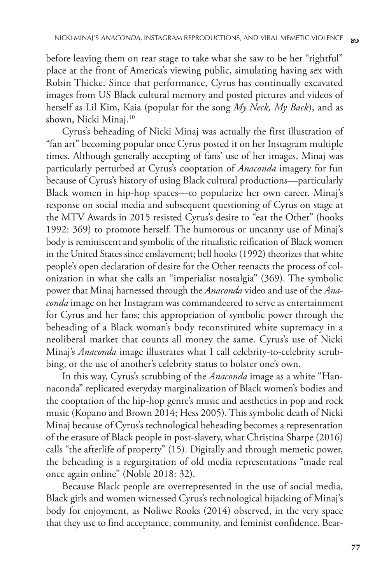before leaving them on rear stage to take what she saw to be her "rightful" place at the front of America's viewing public, simulating having sex with Robin Thicke. Since that performance, Cyrus has continually excavated images from US Black cultural memory and posted pictures and videos of herself as Lil Kim, Kaia (popular for the song *My Neck, My Back*), and as shown, Nicki Minaj.10

Cyrus's beheading of Nicki Minaj was actually the first illustration of "fan art" becoming popular once Cyrus posted it on her Instagram multiple times. Although generally accepting of fans' use of her images, Minaj was particularly perturbed at Cyrus's cooptation of *Anaconda* imagery for fun because of Cyrus's history of using Black cultural productions—particularly Black women in hip-hop spaces—to popularize her own career. Minaj's response on social media and subsequent questioning of Cyrus on stage at the MTV Awards in 2015 resisted Cyrus's desire to "eat the Other" (hooks 1992: 369) to promote herself. The humorous or uncanny use of Minaj's body is reminiscent and symbolic of the ritualistic reification of Black women in the United States since enslavement; bell hooks (1992) theorizes that white people's open declaration of desire for the Other reenacts the process of colonization in what she calls an "imperialist nostalgia" (369). The symbolic power that Minaj harnessed through the *Anaconda* video and use of the *Anaconda* image on her Instagram was commandeered to serve as entertainment for Cyrus and her fans; this appropriation of symbolic power through the beheading of a Black woman's body reconstituted white supremacy in a neoliberal market that counts all money the same. Cyrus's use of Nicki Minaj's *Anaconda* image illustrates what I call celebrity-to-celebrity scrubbing, or the use of another's celebrity status to bolster one's own.

In this way, Cyrus's scrubbing of the *Anaconda* image as a white "Hannaconda" replicated everyday marginalization of Black women's bodies and the cooptation of the hip-hop genre's music and aesthetics in pop and rock music (Kopano and Brown 2014; Hess 2005). This symbolic death of Nicki Minaj because of Cyrus's technological beheading becomes a representation of the erasure of Black people in post-slavery, what Christina Sharpe (2016) calls "the afterlife of property" (15). Digitally and through memetic power, the beheading is a regurgitation of old media representations "made real once again online" (Noble 2018: 32).

Because Black people are overrepresented in the use of social media, Black girls and women witnessed Cyrus's technological hijacking of Minaj's body for enjoyment, as Noliwe Rooks (2014) observed, in the very space that they use to find acceptance, community, and feminist confidence. Bear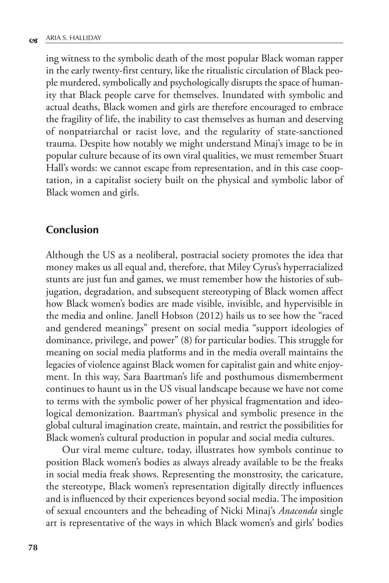ing witness to the symbolic death of the most popular Black woman rapper in the early twenty-first century, like the ritualistic circulation of Black people murdered, symbolically and psychologically disrupts the space of humanity that Black people carve for themselves. Inundated with symbolic and actual deaths, Black women and girls are therefore encouraged to embrace the fragility of life, the inability to cast themselves as human and deserving of nonpatriarchal or racist love, and the regularity of state-sanctioned trauma. Despite how notably we might understand Minaj's image to be in popular culture because of its own viral qualities, we must remember Stuart Hall's words: we cannot escape from representation, and in this case cooptation, in a capitalist society built on the physical and symbolic labor of Black women and girls.

#### **Conclusion**

Although the US as a neoliberal, postracial society promotes the idea that money makes us all equal and, therefore, that Miley Cyrus's hyperracialized stunts are just fun and games, we must remember how the histories of subjugation, degradation, and subsequent stereotyping of Black women affect how Black women's bodies are made visible, invisible, and hypervisible in the media and online. Janell Hobson (2012) hails us to see how the "raced and gendered meanings" present on social media "support ideologies of dominance, privilege, and power" (8) for particular bodies. This struggle for meaning on social media platforms and in the media overall maintains the legacies of violence against Black women for capitalist gain and white enjoyment. In this way, Sara Baartman's life and posthumous dismemberment continues to haunt us in the US visual landscape because we have not come to terms with the symbolic power of her physical fragmentation and ideological demonization. Baartman's physical and symbolic presence in the global cultural imagination create, maintain, and restrict the possibilities for Black women's cultural production in popular and social media cultures.

Our viral meme culture, today, illustrates how symbols continue to position Black women's bodies as always already available to be the freaks in social media freak shows. Representing the monstrosity, the caricature, the stereotype, Black women's representation digitally directly influences and is influenced by their experiences beyond social media. The imposition of sexual encounters and the beheading of Nicki Minaj's *Anaconda* single art is representative of the ways in which Black women's and girls' bodies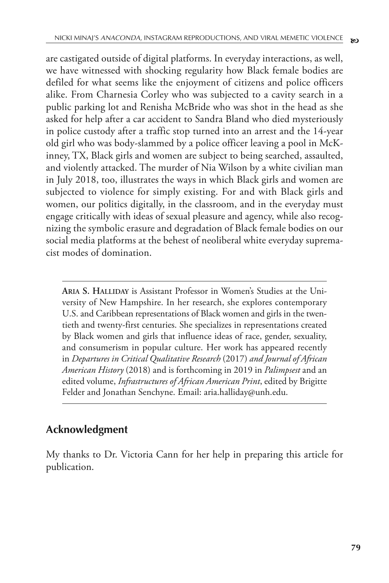are castigated outside of digital platforms. In everyday interactions, as well, we have witnessed with shocking regularity how Black female bodies are defiled for what seems like the enjoyment of citizens and police officers alike. From Charnesia Corley who was subjected to a cavity search in a public parking lot and Renisha McBride who was shot in the head as she asked for help after a car accident to Sandra Bland who died mysteriously in police custody after a traffic stop turned into an arrest and the 14-year old girl who was body-slammed by a police officer leaving a pool in McKinney, TX, Black girls and women are subject to being searched, assaulted, and violently attacked. The murder of Nia Wilson by a white civilian man in July 2018, too, illustrates the ways in which Black girls and women are subjected to violence for simply existing. For and with Black girls and women, our politics digitally, in the classroom, and in the everyday must engage critically with ideas of sexual pleasure and agency, while also recognizing the symbolic erasure and degradation of Black female bodies on our social media platforms at the behest of neoliberal white everyday supremacist modes of domination.

**ARIA S. HALLIDAY** is Assistant Professor in Women's Studies at the University of New Hampshire. In her research, she explores contemporary U.S. and Caribbean representations of Black women and girls in the twentieth and twenty-first centuries. She specializes in representations created by Black women and girls that influence ideas of race, gender, sexuality, and consumerism in popular culture. Her work has appeared recently in *Departures in Critical Qualitative Research* (2017) *and Journal of African American History* (2018) and is forthcoming in 2019 in *Palimpsest* and an edited volume, *Infrastructures of African American Print*, edited by Brigitte Felder and Jonathan Senchyne. Email: aria.halliday@unh.edu.

### **Acknowledgment**

My thanks to Dr. Victoria Cann for her help in preparing this article for publication.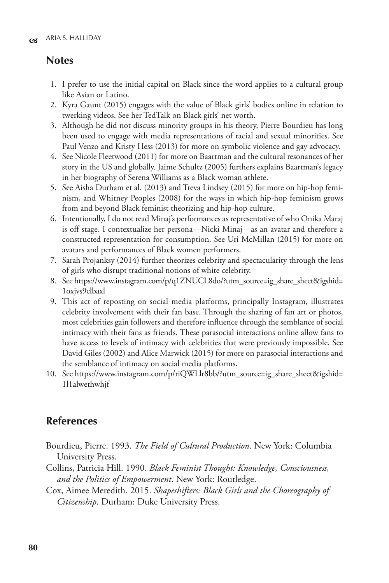#### **Notes**

- 1. I prefer to use the initial capital on Black since the word applies to a cultural group like Asian or Latino.
- 2. Kyra Gaunt (2015) engages with the value of Black girls' bodies online in relation to twerking videos. See her TedTalk on Black girls' net worth.
- 3. Although he did not discuss minority groups in his theory, Pierre Bourdieu has long been used to engage with media representations of racial and sexual minorities. See Paul Venzo and Kristy Hess (2013) for more on symbolic violence and gay advocacy.
- 4. See Nicole Fleetwood (2011) for more on Baartman and the cultural resonances of her story in the US and globally. Jaime Schultz (2005) furthers explains Baartman's legacy in her biography of Serena Williams as a Black woman athlete.
- 5. See Aisha Durham et al. (2013) and Treva Lindsey (2015) for more on hip-hop feminism, and Whitney Peoples (2008) for the ways in which hip-hop feminism grows from and beyond Black feminist theorizing and hip-hop culture.
- 6. Intentionally, I do not read Minaj's performances as representative of who Onika Maraj is off stage. I contextualize her persona—Nicki Minaj—as an avatar and therefore a constructed representation for consumption. See Uri McMillan (2015) for more on avatars and performances of Black women performers.
- 7. Sarah Projanksy (2014) further theorizes celebrity and spectacularity through the lens of girls who disrupt traditional notions of white celebrity.
- 8. See https://www.instagram.com/p/q1ZNUCL8do/?utm\_source=ig\_share\_sheet&igshid= 1oxjvs9clbaxl
- 9. This act of reposting on social media platforms, principally Instagram, illustrates celebrity involvement with their fan base. Through the sharing of fan art or photos, most celebrities gain followers and therefore influence through the semblance of social intimacy with their fans as friends. These parasocial interactions online allow fans to have access to levels of intimacy with celebrities that were previously impossible. See David Giles (2002) and Alice Marwick (2015) for more on parasocial interactions and the semblance of intimacy on social media platforms.
- 10. See https://www.instagram.com/p/riQWLlr8bb/?utm\_source=ig\_share\_sheet&igshid= 1l1alwethwhjf

#### **References**

- Bourdieu, Pierre. 1993. *The Field of Cultural Production*. New York: Columbia University Press.
- Collins, Patricia Hill. 1990. *Black Feminist Thought: Knowledge, Consciousness, and the Politics of Empowerment*. New York: Routledge.
- Cox, Aimee Meredith. 2015. *Shapeshifters: Black Girls and the Choreography of Citizenship*. Durham: Duke University Press.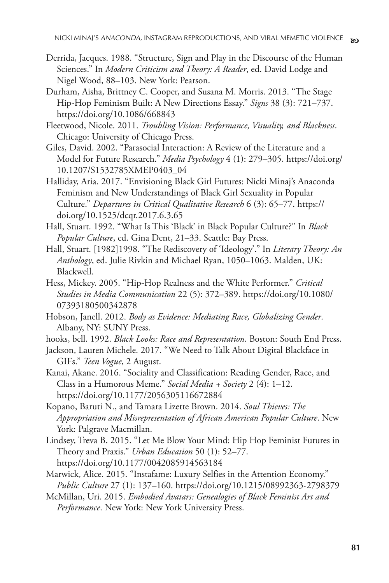- Derrida, Jacques. 1988. "Structure, Sign and Play in the Discourse of the Human Sciences." In *Modern Criticism and Theory: A Reader*, ed. David Lodge and Nigel Wood, 88–103. New York: Pearson.
- Durham, Aisha, Brittney C. Cooper, and Susana M. Morris. 2013. "The Stage Hip-Hop Feminism Built: A New Directions Essay." *Signs* 38 (3): 721–737. https://doi.org/10.1086/668843
- Fleetwood, Nicole. 2011. *Troubling Vision: Performance, Visuality, and Blackness*. Chicago: University of Chicago Press.
- Giles, David. 2002. "Parasocial Interaction: A Review of the Literature and a Model for Future Research." *Media Psychology* 4 (1): 279–305. https://doi.org/ 10.1207/S1532785XMEP0403\_04
- Halliday, Aria. 2017. "Envisioning Black Girl Futures: Nicki Minaj's Anaconda Feminism and New Understandings of Black Girl Sexuality in Popular Culture." *Departures in Critical Qualitative Research* 6 (3): 65–77. https:// doi.org/10.1525/dcqr.2017.6.3.65
- Hall, Stuart. 1992. "What Is This 'Black' in Black Popular Culture?" In *Black Popular Culture*, ed. Gina Dent, 21–33. Seattle: Bay Press.
- Hall, Stuart. [1982]1998. "The Rediscovery of 'Ideology'." In *Literary Theory: An Anthology*, ed. Julie Rivkin and Michael Ryan, 1050–1063. Malden, UK: Blackwell.
- Hess, Mickey. 2005. "Hip-Hop Realness and the White Performer." *Critical Studies in Media Communication* 22 (5): 372–389. https://doi.org/10.1080/ 07393180500342878
- Hobson, Janell. 2012. *Body as Evidence: Mediating Race, Globalizing Gender*. Albany, NY: SUNY Press.
- hooks, bell. 1992. *Black Looks: Race and Representation*. Boston: South End Press.
- Jackson, Lauren Michele. 2017. "We Need to Talk About Digital Blackface in GIFs." *Teen Vogue*, 2 August.
- Kanai, Akane. 2016. "Sociality and Classification: Reading Gender, Race, and Class in a Humorous Meme." *Social Media + Society* 2 (4): 1–12. https://doi.org/10.1177/2056305116672884
- Kopano, Baruti N., and Tamara Lizette Brown. 2014. *Soul Thieves: The Appropriation and Misrepresentation of African American Popular Culture*. New York: Palgrave Macmillan.
- Lindsey, Treva B. 2015. "Let Me Blow Your Mind: Hip Hop Feminist Futures in Theory and Praxis." *Urban Education* 50 (1): 52–77. https://doi.org/10.1177/0042085914563184
- Marwick, Alice. 2015. "Instafame: Luxury Selfies in the Attention Economy." *Public Culture* 27 (1): 137–160. https://doi.org/10.1215/08992363-2798379
- McMillan, Uri. 2015. *Embodied Avatars: Genealogies of Black Feminist Art and Performance*. New York: New York University Press.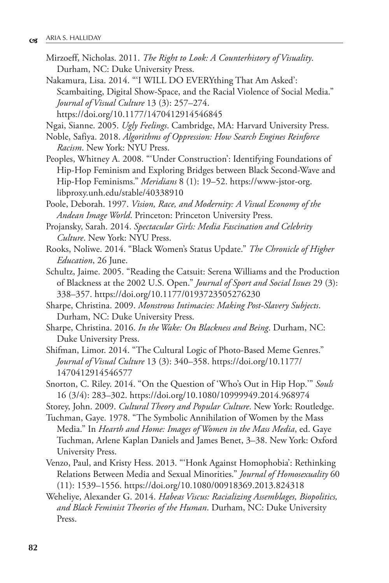Mirzoeff, Nicholas. 2011. *The Right to Look: A Counterhistory of Visuality*. Durham, NC: Duke University Press.

Nakamura, Lisa. 2014. "'I WILL DO EVERYthing That Am Asked': Scambaiting, Digital Show-Space, and the Racial Violence of Social Media." *Journal of Visual Culture* 13 (3): 257–274. https://doi.org/10.1177/1470412914546845

Ngai, Sianne. 2005. *Ugly Feelings*. Cambridge, MA: Harvard University Press.

Noble, Safiya. 2018. *Algorithms of Oppression: How Search Engines Reinforce Racism*. New York: NYU Press.

Peoples, Whitney A. 2008. "'Under Construction': Identifying Foundations of Hip-Hop Feminism and Exploring Bridges between Black Second-Wave and Hip-Hop Feminisms." *Meridians* 8 (1): 19–52. https://www-jstor-org. libproxy.unh.edu/stable/40338910

Poole, Deborah. 1997. *Vision, Race, and Modernity: A Visual Economy of the Andean Image World*. Princeton: Princeton University Press.

- Projansky, Sarah. 2014. *Spectacular Girls: Media Fascination and Celebrity Culture*. New York: NYU Press.
- Rooks, Noliwe. 2014. "Black Women's Status Update." *The Chronicle of Higher Education*, 26 June.
- Schultz, Jaime. 2005. "Reading the Catsuit: Serena Williams and the Production of Blackness at the 2002 U.S. Open." *Journal of Sport and Social Issues* 29 (3): 338–357. https://doi.org/10.1177/0193723505276230

Sharpe, Christina. 2009. *Monstrous Intimacies: Making Post-Slavery Subjects*. Durham, NC: Duke University Press.

Sharpe, Christina. 2016. *In the Wake: On Blackness and Being*. Durham, NC: Duke University Press.

Shifman, Limor. 2014. "The Cultural Logic of Photo-Based Meme Genres." *Journal of Visual Culture* 13 (3): 340–358. https://doi.org/10.1177/ 1470412914546577

Snorton, C. Riley. 2014. "On the Question of 'Who's Out in Hip Hop.'" *Souls* 16 (3/4): 283–302. https://doi.org/10.1080/10999949.2014.968974

Storey, John. 2009. *Cultural Theory and Popular Culture*. New York: Routledge.

Tuchman, Gaye. 1978. "The Symbolic Annihilation of Women by the Mass Media." In *Hearth and Home: Images of Women in the Mass Media*, ed. Gaye Tuchman, Arlene Kaplan Daniels and James Benet, 3–38. New York: Oxford University Press.

Venzo, Paul, and Kristy Hess. 2013. "'Honk Against Homophobia': Rethinking Relations Between Media and Sexual Minorities." *Journal of Homosexuality* 60 (11): 1539–1556. https://doi.org/10.1080/00918369.2013.824318

Weheliye, Alexander G. 2014. *Habeas Viscus: Racializing Assemblages, Biopolitics, and Black Feminist Theories of the Human*. Durham, NC: Duke University Press.